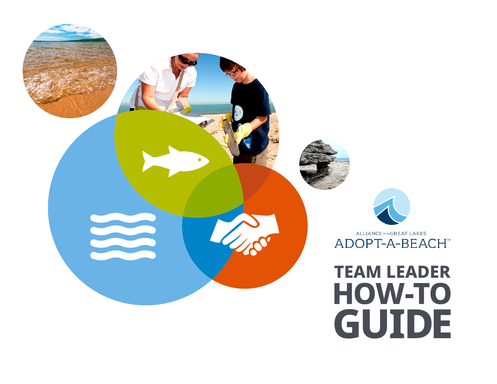

# **TEAM LEADER HOW-TO GUIDE**

 $\label{eq:ALLIANCE} \textit{ALLIANCE} \textit{for the} \textsf{GREAT LAKES}$ ADOPT-A-BEACH<sup>™</sup>



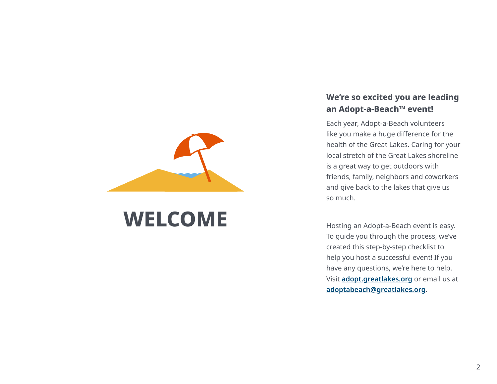

## **WELCOME**

#### **We're so excited you are leading an Adopt-a-Beach™ event!**

Each year, Adopt-a-Beach volunteers like you make a huge difference for the health of the Great Lakes. Caring for your local stretch of the Great Lakes shoreline is a great way to get outdoors with friends, family, neighbors and coworkers and give back to the lakes that give us so much.

Hosting an Adopt-a-Beach event is easy. To guide you through the process, we've created this step-by-step checklist to help you host a successful event! If you have any questions, we're here to help. Visit **[adopt.greatlakes.org](https://adopt.greatlakes.org/s/)** or email us at **[adoptabeach@greatlakes.org](mailto:adoptabeach%40greatlakes.org?subject=)**.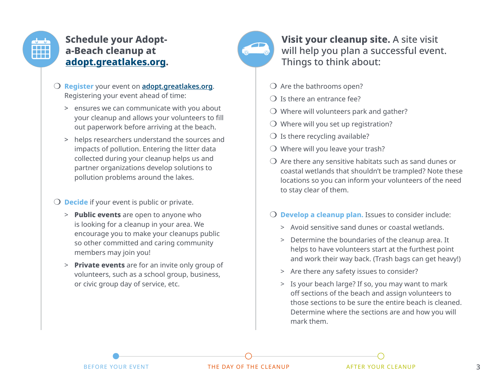

## **Schedule your Adopta-Beach cleanup at [adopt.greatlakes.org](http://adopt.greatlakes.org).**



**Visit your cleanup site.** A site visit will help you plan a successful event. Things to think about:

- $\bigcirc$  Are the bathrooms open?
- $\Omega$  Is there an entrance fee?
- $\bigcirc$  Where will volunteers park and gather?
- $\bigcirc$  Where will you set up registration?
- $\bigcirc$  Is there recycling available?
- $\bigcirc$  Where will you leave your trash?
- $\overline{O}$  Are there any sensitive habitats such as sand dunes or coastal wetlands that shouldn't be trampled? Note these locations so you can inform your volunteers of the need to stay clear of them.
- **O Develop a cleanup plan.** Issues to consider include:
	- > Avoid sensitive sand dunes or coastal wetlands.
	- > Determine the boundaries of the cleanup area. It helps to have volunteers start at the furthest point and work their way back. (Trash bags can get heavy!)
	- > Are there any safety issues to consider?
	- > Is your beach large? If so, you may want to mark off sections of the beach and assign volunteers to those sections to be sure the entire beach is cleaned. Determine where the sections are and how you will mark them.

> ensures we can communicate with you about your cleanup and allows your volunteers to fill out paperwork before arriving at the beach.

m **Register** your event on **[adopt.greatlakes.org](http://adopt.greatlakes.org)**. Registering your event ahead of time:

> helps researchers understand the sources and impacts of pollution. Entering the litter data collected during your cleanup helps us and partner organizations develop solutions to pollution problems around the lakes.

#### **O Decide** if your event is public or private.

- > **Public events** are open to anyone who is looking for a cleanup in your area. We encourage you to make your cleanups public so other committed and caring community members may join you!
- > **Private events** are for an invite only group of volunteers, such as a school group, business, or civic group day of service, etc.

BEFORE YOUR EVENT THE DAY OF THE CLEANUP AFTER YOUR CLEANUP 3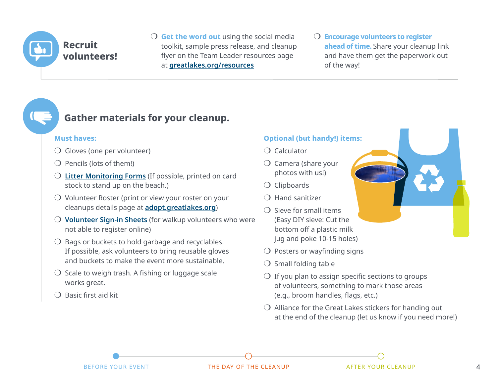

 $\overline{O}$  **Get the word out** using the social media toolkit, sample press release, and cleanup flyer on the Team Leader resources page at **[greatlakes.org/resources](https://greatlakes.org/get-involved/adopt-a-beach/team-leader-resources/)**

**O** Encourage volunteers to register **ahead of time.** Share your cleanup link and have them get the paperwork out of the way!

## **Gather materials for your cleanup.**

#### **Must haves:**

- $\bigcirc$  Gloves (one per volunteer)
- $\bigcirc$  Pencils (lots of them!)
- O [Litter Monitoring Forms](https://greatlakes.org/get-involved/adopt-a-beach/team-leader-resources/#Forms) (If possible, printed on card stock to stand up on the beach.)
- $\overline{O}$  Volunteer Roster (print or view your roster on your cleanups details page at **[adopt.greatlakes.org](https://adopt.greatlakes.org/s/)**)
- **O** [Volunteer Sign-in Sheets](https://greatlakes.org/get-involved/adopt-a-beach/team-leader-resources/#Forms) (for walkup volunteers who were not able to register online)
- $\bigcirc$  Bags or buckets to hold garbage and recyclables. If possible, ask volunteers to bring reusable gloves and buckets to make the event more sustainable.
- $\overline{O}$  Scale to weigh trash. A fishing or luggage scale works great.
- $\bigcirc$  Basic first aid kit

#### **Optional (but handy!) items:**

- $\bigcap$  Calculator
- $\bigcirc$  Camera (share your photos with us!)
- $\bigcirc$  Clipboards
- $\bigcap$  Hand sanitizer
- $\bigcirc$  Sieve for small items (Easy DIY sieve: Cut the bottom off a plastic milk jug and poke 10-15 holes)
- $\bigcirc$  Posters or wayfinding signs
- $\bigcirc$  Small folding table
- $\bigcirc$  If you plan to assign specific sections to groups of volunteers, something to mark those areas (e.g., broom handles, flags, etc.)
- $\bigcirc$  Alliance for the Great Lakes stickers for handing out at the end of the cleanup (let us know if you need more!)

BEFORE YOUR EVENT THE DAY OF THE CLEANUP AFTER YOUR CLEANUP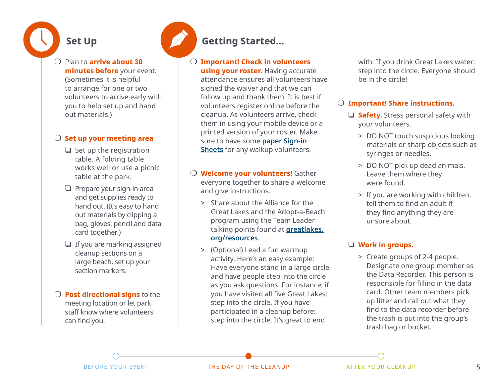## **Set Up**

m Plan to **arrive about 30 minutes before** your event. (Sometimes it is helpful to arrange for one or two volunteers to arrive early with you to help set up and hand out materials.)

#### **O** Set up your meeting area

- $\Box$  Set up the registration table. A folding table works well or use a picnic table at the park.
- $\Box$  Prepare your sign-in area and get supplies ready to hand out. (It's easy to hand out materials by clipping a bag, gloves, pencil and data card together.)
- $\Box$  If you are marking assigned cleanup sections on a large beach, set up your section markers.
- **O** Post directional signs to the meeting location or let park staff know where volunteers can find you.

## **Getting Started...**

#### m **Important! Check in volunteers**

**using your roster.** Having accurate attendance ensures all volunteers have signed the waiver and that we can follow up and thank them. It is best if volunteers register online before the cleanup. As volunteers arrive, check them in using your mobile device or a printed version of your roster. Make sure to have some **[paper Sign-in](https://greatlakes.org/get-involved/adopt-a-beach/team-leader-resources/#Forms)  [Sheets](https://greatlakes.org/get-involved/adopt-a-beach/team-leader-resources/#Forms)** for any walkup volunteers.

**O Welcome your volunteers!** Gather everyone together to share a welcome and give instructions.

- > Share about the Alliance for the Great Lakes and the Adopt-a-Beach program using the Team Leader talking points found at **[greatlakes.](https://greatlakes.org/get-involved/adopt-a-beach/team-leader-resources/) [org/resources](https://greatlakes.org/get-involved/adopt-a-beach/team-leader-resources/)**.
- > (Optional) Lead a fun warmup activity. Here's an easy example: Have everyone stand in a large circle and have people step into the circle as you ask questions. For instance, if you have visited all five Great Lakes: step into the circle. If you have participated in a cleanup before: step into the circle. It's great to end

with: If you drink Great Lakes water: step into the circle. Everyone should be in the circle!

#### O Important! Share instructions.

- **J** Safety. Stress personal safety with your volunteers.
	- > DO NOT touch suspicious looking materials or sharp objects such as syringes or needles.
	- > DO NOT pick up dead animals. Leave them where they were found.
	- > If you are working with children, tell them to find an adult if they find anything they are unsure about.

#### $\Box$  **Work in groups.**

 > Create groups of 2-4 people. Designate one group member as the Data Recorder. This person is responsible for filling in the data card. Other team members pick up litter and call out what they find to the data recorder before the trash is put into the group's trash bag or bucket.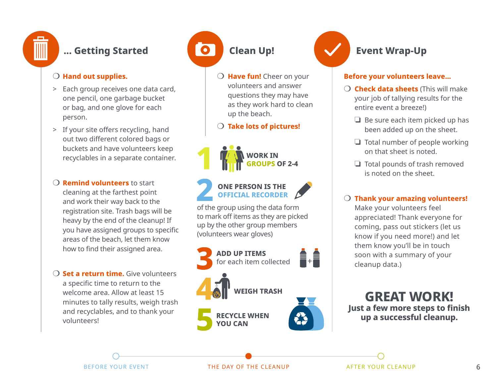

## **... Getting Started**

#### $\bigcirc$  Hand out supplies.

- > Each group receives one data card, one pencil, one garbage bucket or bag, and one glove for each person.
- > If your site offers recycling, hand out two different colored bags or buckets and have volunteers keep recyclables in a separate container.
- **O Remind volunteers** to start cleaning at the farthest point and work their way back to the registration site. Trash bags will be heavy by the end of the cleanup! If you have assigned groups to specific areas of the beach, let them know how to find their assigned area.
- **O** Set a return time. Give volunteers a specific time to return to the welcome area. Allow at least 15 minutes to tally results, weigh trash and recyclables, and to thank your volunteers!

## **Clean Up!**

 $\bullet$ 

**O** Have fun! Cheer on your volunteers and answer questions they may have as they work hard to clean up the beach.

#### $\bigcirc$  Take lots of pictures!



#### **ONE PERSON IS THE OFFICIAL RECORDER**

of the group using the data form to mark off items as they are picked up by the other group members (volunteers wear gloves)





## **Event Wrap-Up**

#### **Before your volunteers leave…**

- **O Check data sheets** (This will make your job of tallying results for the entire event a breeze!)
	- $\Box$  Be sure each item picked up has been added up on the sheet.
	- $\Box$  Total number of people working on that sheet is noted.
	- $\Box$  Total pounds of trash removed is noted on the sheet.

#### $\bigcirc$  Thank your amazing volunteers!

Make your volunteers feel appreciated! Thank everyone for coming, pass out stickers (let us know if you need more!) and let them know you'll be in touch soon with a summary of your cleanup data.)

**GREAT WORK! Just a few more steps to finish up a successful cleanup.**

BEFORE YOUR EVENT THE DAY OF THE CLEANUP AFTER YOUR CLEANUP